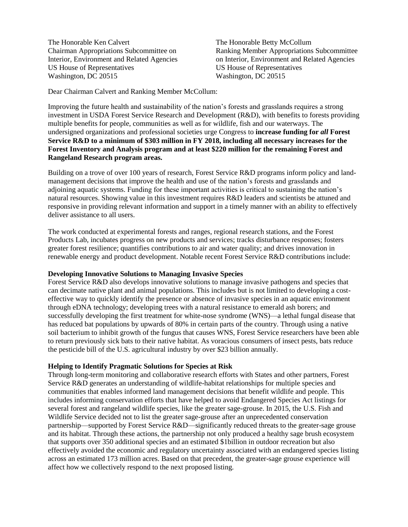The Honorable Ken Calvert The Honorable Betty McCollum US House of Representatives US House of Representatives Washington, DC 20515 Washington, DC 20515

Chairman Appropriations Subcommittee on Ranking Member Appropriations Subcommittee Interior, Environment and Related Agencies on Interior, Environment and Related Agencies

Dear Chairman Calvert and Ranking Member McCollum:

Improving the future health and sustainability of the nation's forests and grasslands requires a strong investment in USDA Forest Service Research and Development (R&D), with benefits to forests providing multiple benefits for people, communities as well as for wildlife, fish and our waterways. The undersigned organizations and professional societies urge Congress to **increase funding for** *all* **Forest Service R&D to a minimum of \$303 million in FY 2018, including all necessary increases for the Forest Inventory and Analysis program and at least \$220 million for the remaining Forest and Rangeland Research program areas.**

Building on a trove of over 100 years of research, Forest Service R&D programs inform policy and landmanagement decisions that improve the health and use of the nation's forests and grasslands and adjoining aquatic systems. Funding for these important activities is critical to sustaining the nation's natural resources. Showing value in this investment requires R&D leaders and scientists be attuned and responsive in providing relevant information and support in a timely manner with an ability to effectively deliver assistance to all users.

The work conducted at experimental forests and ranges, regional research stations, and the Forest Products Lab, incubates progress on new products and services; tracks disturbance responses; fosters greater forest resilience; quantifies contributions to air and water quality; and drives innovation in renewable energy and product development. Notable recent Forest Service R&D contributions include:

## **Developing Innovative Solutions to Managing Invasive Species**

Forest Service R&D also develops innovative solutions to manage invasive pathogens and species that can decimate native plant and animal populations. This includes but is not limited to developing a costeffective way to quickly identify the presence or absence of invasive species in an aquatic environment through eDNA technology; developing trees with a natural resistance to emerald ash borers; and successfully developing the first treatment for white-nose syndrome (WNS)—a lethal fungal disease that has reduced bat populations by upwards of 80% in certain parts of the country. Through using a native soil bacterium to inhibit growth of the fungus that causes WNS, Forest Service researchers have been able to return previously sick bats to their native habitat. As voracious consumers of insect pests, bats reduce the pesticide bill of the U.S. agricultural industry by over \$23 billion annually.

## **Helping to Identify Pragmatic Solutions for Species at Risk**

Through long-term monitoring and collaborative research efforts with States and other partners, Forest Service R&D generates an understanding of wildlife-habitat relationships for multiple species and communities that enables informed land management decisions that benefit wildlife and people. This includes informing conservation efforts that have helped to avoid Endangered Species Act listings for several forest and rangeland wildlife species, like the greater sage-grouse. In 2015, the U.S. Fish and Wildlife Service decided not to list the greater sage-grouse after an unprecedented conservation partnership—supported by Forest Service R&D—significantly reduced threats to the greater-sage grouse and its habitat. Through these actions, the partnership not only produced a healthy sage brush ecosystem that supports over 350 additional species and an estimated \$1billion in outdoor recreation but also effectively avoided the economic and regulatory uncertainty associated with an endangered species listing across an estimated 173 million acres. Based on that precedent, the greater-sage grouse experience will affect how we collectively respond to the next proposed listing.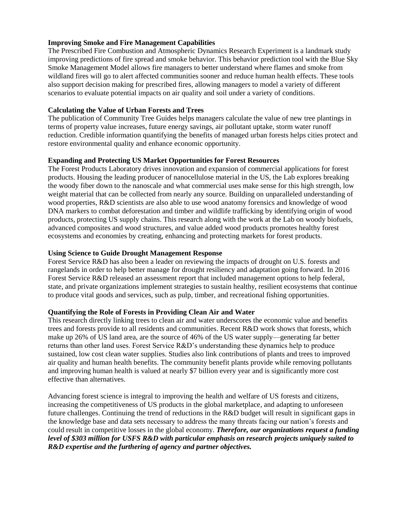## **Improving Smoke and Fire Management Capabilities**

The Prescribed Fire Combustion and Atmospheric Dynamics Research Experiment is a landmark study improving predictions of fire spread and smoke behavior. This behavior prediction tool with the Blue Sky Smoke Management Model allows fire managers to better understand where flames and smoke from wildland fires will go to alert affected communities sooner and reduce human health effects. These tools also support decision making for prescribed fires, allowing managers to model a variety of different scenarios to evaluate potential impacts on air quality and soil under a variety of conditions.

## **Calculating the Value of Urban Forests and Trees**

The publication of Community Tree Guides helps managers calculate the value of new tree plantings in terms of property value increases, future energy savings, air pollutant uptake, storm water runoff reduction. Credible information quantifying the benefits of managed urban forests helps cities protect and restore environmental quality and enhance economic opportunity.

# **Expanding and Protecting US Market Opportunities for Forest Resources**

The Forest Products Laboratory drives innovation and expansion of commercial applications for forest products. Housing the leading producer of nanocellulose material in the US, the Lab explores breaking the woody fiber down to the nanoscale and what commercial uses make sense for this high strength, low weight material that can be collected from nearly any source. Building on unparalleled understanding of wood properties, R&D scientists are also able to use wood anatomy forensics and knowledge of wood DNA markers to combat deforestation and timber and wildlife trafficking by identifying origin of wood products, protecting US supply chains. This research along with the work at the Lab on woody biofuels, advanced composites and wood structures, and value added wood products promotes healthy forest ecosystems and economies by creating, enhancing and protecting markets for forest products.

# **Using Science to Guide Drought Management Response**

Forest Service R&D has also been a leader on reviewing the impacts of drought on U.S. forests and rangelands in order to help better manage for drought resiliency and adaptation going forward. In 2016 Forest Service R&D released an assessment report that included management options to help federal, state, and private organizations implement strategies to sustain healthy, resilient ecosystems that continue to produce vital goods and services, such as pulp, timber, and recreational fishing opportunities.

## **Quantifying the Role of Forests in Providing Clean Air and Water**

This research directly linking trees to clean air and water underscores the economic value and benefits trees and forests provide to all residents and communities. Recent R&D work shows that forests, which make up 26% of US land area, are the source of 46% of the US water supply—generating far better returns than other land uses. Forest Service R&D's understanding these dynamics help to produce sustained, low cost clean water supplies. Studies also link contributions of plants and trees to improved air quality and human health benefits. The community benefit plants provide while removing pollutants and improving human health is valued at nearly \$7 billion every year and is significantly more cost effective than alternatives.

Advancing forest science is integral to improving the health and welfare of US forests and citizens, increasing the competitiveness of US products in the global marketplace, and adapting to unforeseen future challenges. Continuing the trend of reductions in the R&D budget will result in significant gaps in the knowledge base and data sets necessary to address the many threats facing our nation's forests and could result in competitive losses in the global economy. *Therefore, our organizations request a funding level of \$303 million for USFS R&D with particular emphasis on research projects uniquely suited to R&D expertise and the furthering of agency and partner objectives.*